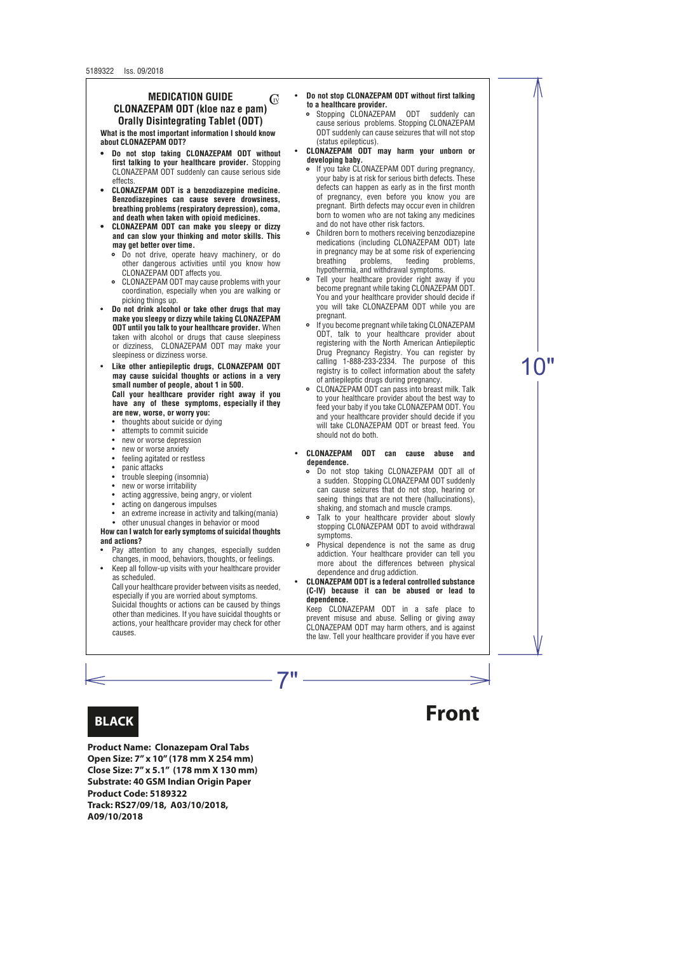#### **MEDICATION GUIDE CLONAZEPAM ODT (kloe naz e pam) Orally Disintegrating Tablet (ODT)** G<sub>V</sub>

**What is the most important information I should know about CLONAZEPAM ODT?**

- **Do not stop taking CLONAZEPAM ODT without first talking to your healthcare provider.** Stopping CLONAZEPAM ODT suddenly can cause serious side effects.
- **• CLONAZEPAM ODT is a benzodiazepine medicine. Benzodiazepines can cause severe drowsiness, breathing problems (respiratory depression), coma, and death when taken with opioid medicines.**
- **CLONAZEPAM ODT can make you sleepy or dizzy and can slow your thinking and motor skills. This may get better over time.**
	- Do not drive, operate heavy machinery, or do other dangerous activities until you know how CLONAZEPAM ODT affects you.
	- CLONAZEPAM ODT may cause problems with your coordination, especially when you are walking or picking things up.
- **Do not drink alcohol or take other drugs that may make you sleepy or dizzy while taking CLONAZEPAM ODT until you talk to your healthcare provider.** When taken with alcohol or drugs that cause sleepiness or dizziness, CLONAZEPAM ODT may make your sleepiness or dizziness worse.
- **Like other antiepileptic drugs, CLONAZEPAM ODT may cause suicidal thoughts or actions in a very small number of people, about 1 in 500. Call your healthcare provider right away if you have any of these symptoms, especially if they are new, worse, or worry you:**
	- thoughts about suicide or dying
	- attempts to commit suicide
	- new or worse depression
	- new or worse anxiety
	- feeling agitated or restless
	- panic attacks
	- trouble sleeping (insomnia)
	- new or worse irritability
	- acting aggressive, being angry, or violent
	- acting on dangerous impulses
	- an extreme increase in activity and talking (mania)
	- other unusual changes in behavior or mood

**How can I watch for early symptoms of suicidal thoughts and actions?**

- Pay attention to any changes, especially sudden changes, in mood, behaviors, thoughts, or feelings.
- Keep all follow-up visits with your healthcare provider as scheduled.

Call your healthcare provider between visits as needed, especially if you are worried about symptoms.

Suicidal thoughts or actions can be caused by things other than medicines. If you have suicidal thoughts or actions, your healthcare provider may check for other causes.

- **Do not stop CLONAZEPAM ODT without first talking to a healthcare provider.**
	- Stopping CLONAZEPAM ODT suddenly can cause serious problems. Stopping CLONAZEPAM ODT suddenly can cause seizures that will not stop (status epilepticus).
- **CLONAZEPAM ODT may harm your unborn or developing baby.**
	- If you take CLONAZEPAM ODT during pregnancy, your baby is at risk for serious birth defects. These defects can happen as early as in the first month of pregnancy, even before you know you are pregnant. Birth defects may occur even in children born to women who are not taking any medicines and do not have other risk factors.
	- Children born to mothers receiving benzodiazepine medications (including CLONAZEPAM ODT) late in pregnancy may be at some risk of experiencing breathing problems, feeding problems, hypothermia, and withdrawal symptoms.
	- Tell your healthcare provider right away if you  $\bullet$ become pregnant while taking CLONAZEPAM ODT. You and your healthcare provider should decide if you will take CLONAZEPAM ODT while you are pregnant.
	- If you become pregnant while taking CLONAZEPAM ODT, talk to your healthcare provider about registering with the North American Antiepileptic Drug Pregnancy Registry. You can register by calling 1-888-233-2334. The purpose of this registry is to collect information about the safety of antiepileptic drugs during pregnancy.
	- CLONAZEPAM ODT can pass into breast milk. Talk to your healthcare provider about the best way to feed your baby if you take CLONAZEPAM ODT. You and your healthcare provider should decide if you will take CLONAZEPAM ODT or breast feed. You should not do both.
- **CLONAZEPAM ODT can cause abuse and dependence.**
	- Do not stop taking CLONAZEPAM ODT all of a sudden. Stopping CLONAZEPAM ODT suddenly can cause seizures that do not stop, hearing or seeing things that are not there (hallucinations), shaking, and stomach and muscle cramps.
	- Talk to your healthcare provider about slowly stopping CLONAZEPAM ODT to avoid withdrawal symptoms.
	- Physical dependence is not the same as drug addiction. Your healthcare provider can tell you more about the differences between physical dependence and drug addiction.
- **CLONAZEPAM ODT is a federal controlled substance (C-IV) because it can be abused or lead to dependence.**

Keep CLONAZEPAM ODT in a safe place to prevent misuse and abuse. Selling or giving away CLONAZEPAM ODT may harm others, and is against the law. Tell your healthcare provider if you have ever